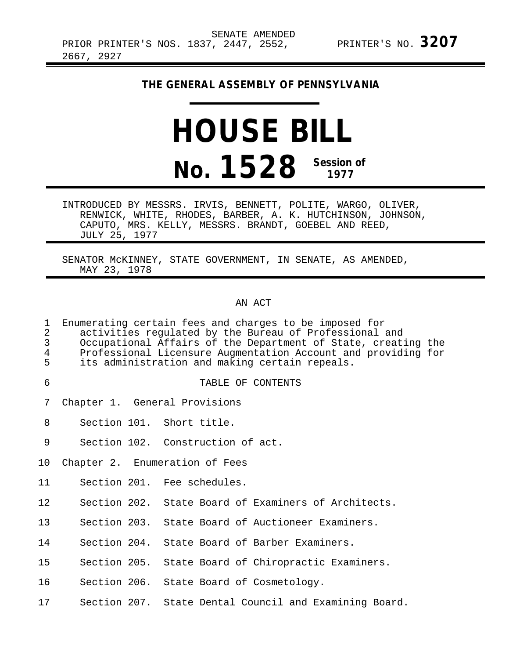### **THE GENERAL ASSEMBLY OF PENNSYLVANIA**

# **HOUSE BILL No. 1528 Session of 1977**

INTRODUCED BY MESSRS. IRVIS, BENNETT, POLITE, WARGO, OLIVER, RENWICK, WHITE, RHODES, BARBER, A. K. HUTCHINSON, JOHNSON, CAPUTO, MRS. KELLY, MESSRS. BRANDT, GOEBEL AND REED, JULY 25, 1977

SENATOR McKINNEY, STATE GOVERNMENT, IN SENATE, AS AMENDED, MAY 23, 1978

#### AN ACT

| $\mathbf 1$<br>$\overline{2}$<br>$\overline{3}$<br>4<br>5 | Enumerating certain fees and charges to be imposed for<br>activities regulated by the Bureau of Professional and<br>Occupational Affairs of the Department of State, creating the<br>Professional Licensure Augmentation Account and providing for<br>its administration and making certain repeals. |
|-----------------------------------------------------------|------------------------------------------------------------------------------------------------------------------------------------------------------------------------------------------------------------------------------------------------------------------------------------------------------|
| 6                                                         | TABLE OF CONTENTS                                                                                                                                                                                                                                                                                    |
| 7                                                         | Chapter 1. General Provisions                                                                                                                                                                                                                                                                        |
| 8                                                         | Section 101. Short title.                                                                                                                                                                                                                                                                            |
| 9                                                         | Section 102. Construction of act.                                                                                                                                                                                                                                                                    |
| 10                                                        | Chapter 2. Enumeration of Fees                                                                                                                                                                                                                                                                       |
| 11                                                        | Section 201. Fee schedules.                                                                                                                                                                                                                                                                          |
| 12 <sup>°</sup>                                           | Section 202. State Board of Examiners of Architects.                                                                                                                                                                                                                                                 |
| 13                                                        | Section 203. State Board of Auctioneer Examiners.                                                                                                                                                                                                                                                    |
| 14                                                        | Section 204. State Board of Barber Examiners.                                                                                                                                                                                                                                                        |
| 15                                                        | Section 205. State Board of Chiropractic Examiners.                                                                                                                                                                                                                                                  |
| 16                                                        | Section 206. State Board of Cosmetology.                                                                                                                                                                                                                                                             |
| 17                                                        | Section 207. State Dental Council and Examining Board.                                                                                                                                                                                                                                               |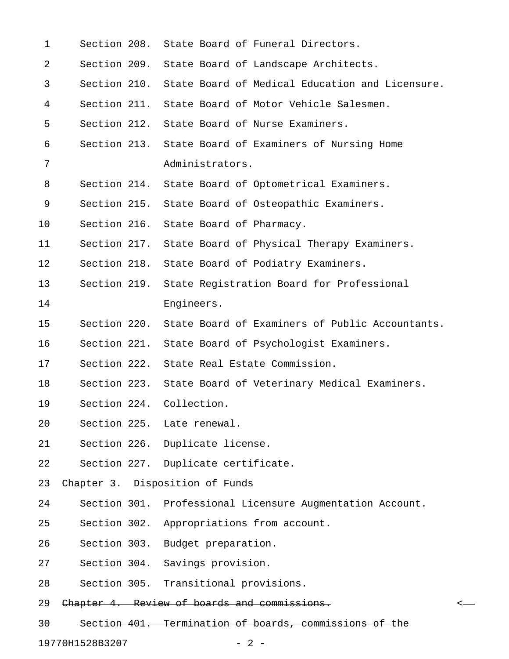| $\mathbf 1$ |              | Section 208. State Board of Funeral Directors.               |  |
|-------------|--------------|--------------------------------------------------------------|--|
| 2           |              | Section 209. State Board of Landscape Architects.            |  |
| 3           |              | Section 210. State Board of Medical Education and Licensure. |  |
| 4           |              | Section 211. State Board of Motor Vehicle Salesmen.          |  |
| 5           |              | Section 212. State Board of Nurse Examiners.                 |  |
| 6           |              | Section 213. State Board of Examiners of Nursing Home        |  |
| 7           |              | Administrators.                                              |  |
| 8           | Section 214. | State Board of Optometrical Examiners.                       |  |
| 9           |              | Section 215. State Board of Osteopathic Examiners.           |  |
| 10          | Section 216. | State Board of Pharmacy.                                     |  |
| 11          |              | Section 217. State Board of Physical Therapy Examiners.      |  |
| 12          |              | Section 218. State Board of Podiatry Examiners.              |  |
| 13          | Section 219. | State Registration Board for Professional                    |  |
| 14          |              | Engineers.                                                   |  |
| 15          | Section 220. | State Board of Examiners of Public Accountants.              |  |
| 16          |              | Section 221. State Board of Psychologist Examiners.          |  |
| 17          |              | Section 222. State Real Estate Commission.                   |  |
| 18          |              | Section 223. State Board of Veterinary Medical Examiners.    |  |
| 19          |              | Section 224. Collection.                                     |  |
| 20          |              | Section 225. Late renewal.                                   |  |
| 21          |              | Section 226. Duplicate license.                              |  |
| 22          |              | Section 227. Duplicate certificate.                          |  |
| 23          |              | Chapter 3. Disposition of Funds                              |  |
| 24          |              | Section 301. Professional Licensure Augmentation Account.    |  |
| 25          | Section 302. | Appropriations from account.                                 |  |
| 26          |              | Section 303. Budget preparation.                             |  |
| 27          |              | Section 304. Savings provision.                              |  |
| 28          |              | Section 305. Transitional provisions.                        |  |
| 29          |              | Chapter 4. Review of boards and commissions.                 |  |
| 30          |              | Section 401. Termination of boards, commissions of the       |  |

19770H1528B3207 - 2 -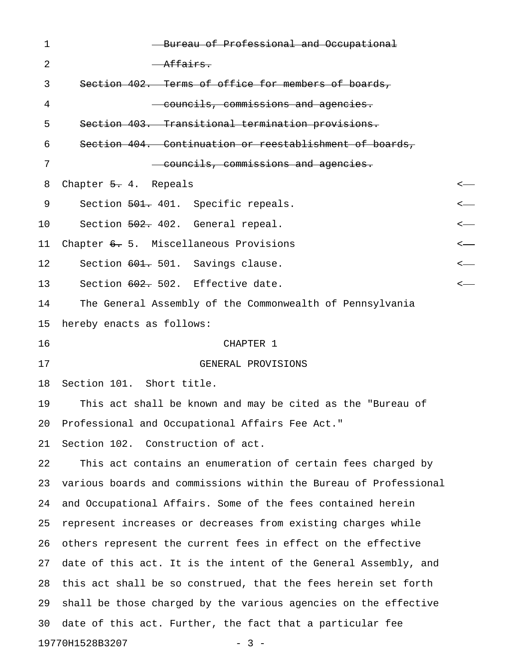| 1  | Bureau of Professional and Occupational                          |                  |
|----|------------------------------------------------------------------|------------------|
| 2  | <del>Affairs.</del>                                              |                  |
| 3  | Section 402. Terms of office for members of boards,              |                  |
| 4  | councils, commissions and agencies.                              |                  |
| 5  | Section 403. Transitional termination provisions.                |                  |
| 6  | Section 404. Continuation or reestablishment of boards,          |                  |
| 7  | councils, commissions and agencies.                              |                  |
| 8  | Chapter 5. 4. Repeals                                            | <—               |
| 9  | Section 501. 401. Specific repeals.                              |                  |
| 10 | Section 502. 402. General repeal.                                | $\longleftarrow$ |
| 11 | Chapter 6. 5. Miscellaneous Provisions                           | <—               |
| 12 | Section 601. 501. Savings clause.                                | <—               |
| 13 | Section 602. 502. Effective date.                                | <—               |
| 14 | The General Assembly of the Commonwealth of Pennsylvania         |                  |
| 15 | hereby enacts as follows:                                        |                  |
| 16 | CHAPTER 1                                                        |                  |
| 17 | GENERAL PROVISIONS                                               |                  |
| 18 | Section 101. Short title.                                        |                  |
| 19 | This act shall be known and may be cited as the "Bureau of       |                  |
| 20 | Professional and Occupational Affairs Fee Act."                  |                  |
| 21 | Section 102. Construction of act.                                |                  |
| 22 | This act contains an enumeration of certain fees charged by      |                  |
| 23 | various boards and commissions within the Bureau of Professional |                  |
| 24 | and Occupational Affairs. Some of the fees contained herein      |                  |
| 25 | represent increases or decreases from existing charges while     |                  |
| 26 | others represent the current fees in effect on the effective     |                  |
| 27 | date of this act. It is the intent of the General Assembly, and  |                  |
| 28 | this act shall be so construed, that the fees herein set forth   |                  |
| 29 | shall be those charged by the various agencies on the effective  |                  |
| 30 | date of this act. Further, the fact that a particular fee        |                  |
|    | 19770H1528B3207<br>$-3 -$                                        |                  |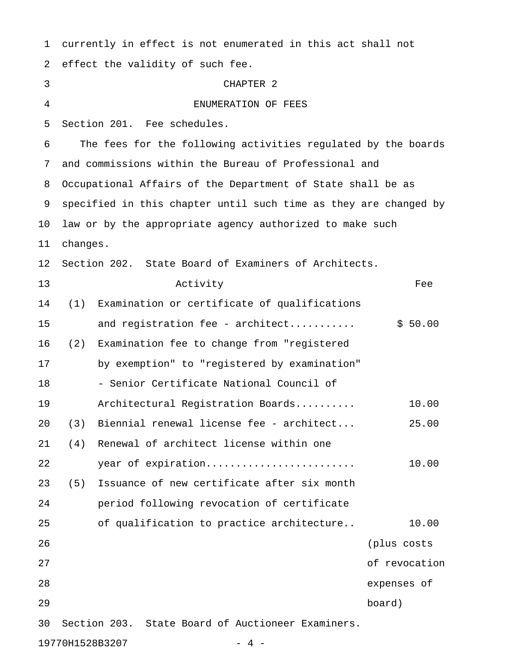| 1  |          | currently in effect is not enumerated in this act shall not      |               |
|----|----------|------------------------------------------------------------------|---------------|
| 2  |          | effect the validity of such fee.                                 |               |
| 3  |          | CHAPTER <sub>2</sub>                                             |               |
| 4  |          | ENUMERATION OF FEES                                              |               |
| 5  |          | Section 201. Fee schedules.                                      |               |
| 6  |          | The fees for the following activities regulated by the boards    |               |
| 7  |          | and commissions within the Bureau of Professional and            |               |
| 8  |          | Occupational Affairs of the Department of State shall be as      |               |
| 9  |          | specified in this chapter until such time as they are changed by |               |
| 10 |          | law or by the appropriate agency authorized to make such         |               |
| 11 | changes. |                                                                  |               |
| 12 |          | Section 202. State Board of Examiners of Architects.             |               |
| 13 |          | Activity                                                         | Fee           |
| 14 | (1)      | Examination or certificate of qualifications                     |               |
| 15 |          | and registration fee - architect                                 | \$50.00       |
| 16 | (2)      | Examination fee to change from "registered                       |               |
| 17 |          | by exemption" to "registered by examination"                     |               |
| 18 |          | - Senior Certificate National Council of                         |               |
| 19 |          | Architectural Registration Boards                                | 10.00         |
| 20 | (3)      | Biennial renewal license fee - architect                         | 25.00         |
| 21 | (4)      | Renewal of architect license within one                          |               |
| 22 |          | year of expiration                                               | 10.00         |
| 23 | (5)      | Issuance of new certificate after six month                      |               |
| 24 |          | period following revocation of certificate                       |               |
| 25 |          | of qualification to practice architecture                        | 10.00         |
| 26 |          |                                                                  | (plus costs   |
| 27 |          |                                                                  | of revocation |
| 28 |          |                                                                  | expenses of   |
| 29 |          |                                                                  | board)        |
| 30 |          | Section 203. State Board of Auctioneer Examiners.                |               |
|    |          | 19770H1528B3207<br>$-4-$                                         |               |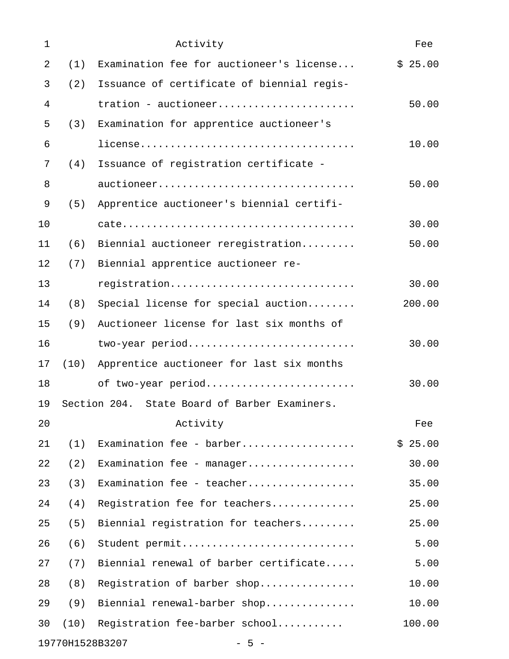| $\mathbf{1}$ |      | Activity                                      | Fee     |
|--------------|------|-----------------------------------------------|---------|
| 2            | (1)  | Examination fee for auctioneer's license      | \$25.00 |
| 3            | (2)  | Issuance of certificate of biennial regis-    |         |
| 4            |      | tration - auctioneer                          | 50.00   |
| 5            | (3)  | Examination for apprentice auctioneer's       |         |
| 6            |      |                                               | 10.00   |
| 7            | (4)  | Issuance of registration certificate -        |         |
| 8            |      | auctioneer                                    | 50.00   |
| 9            | (5)  | Apprentice auctioneer's biennial certifi-     |         |
| 10           |      |                                               | 30.00   |
| 11           | (6)  | Biennial auctioneer reregistration            | 50.00   |
| 12           | (7)  | Biennial apprentice auctioneer re-            |         |
| 13           |      | registration                                  | 30.00   |
| 14           | (8)  | Special license for special auction           | 200.00  |
| 15           | (9)  | Auctioneer license for last six months of     |         |
| 16           |      | two-year period                               | 30.00   |
| 17           | (10) | Apprentice auctioneer for last six months     |         |
| 18           |      | of two-year period                            | 30.00   |
| 19           |      | Section 204. State Board of Barber Examiners. |         |
| 20           |      | Activity                                      | Fee     |
| 21           | (1)  | Examination fee - barber                      | \$25.00 |
| 22           | (2)  | Examination fee - manager                     | 30.00   |
| 23           | (3)  | Examination fee - teacher                     | 35.00   |
| 24           | (4)  | Registration fee for teachers                 | 25.00   |
| 25           | (5)  | Biennial registration for teachers            | 25.00   |
| 26           | (6)  | Student permit                                | 5.00    |
| 27           | (7)  | Biennial renewal of barber certificate        | 5.00    |
| 28           | (8)  | Registration of barber shop                   | 10.00   |
| 29           | (9)  | Biennial renewal-barber shop                  | 10.00   |
| 30           | (10) | Registration fee-barber school                | 100.00  |
|              |      | 19770H1528B3207<br>$-5 -$                     |         |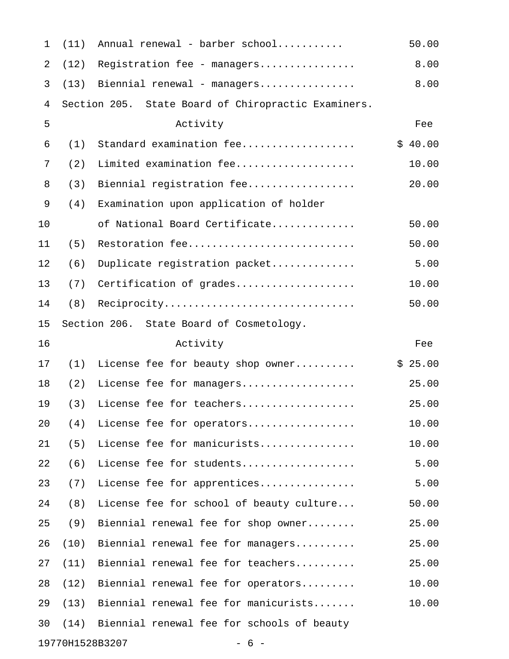| $\mathbf 1$ | (11) | Annual renewal - barber school                      | 50.00   |
|-------------|------|-----------------------------------------------------|---------|
| 2           | (12) | Registration fee - managers                         | 8.00    |
| 3           | (13) | Biennial renewal - managers                         | 8.00    |
| 4           |      | Section 205. State Board of Chiropractic Examiners. |         |
| 5           |      | Activity                                            | Fee     |
| 6           | (1)  | Standard examination fee                            | \$40.00 |
| 7           | (2)  | Limited examination fee                             | 10.00   |
| 8           | (3)  | Biennial registration fee                           | 20.00   |
| 9           | (4)  | Examination upon application of holder              |         |
| 10          |      | of National Board Certificate                       | 50.00   |
| 11          | (5)  | Restoration fee                                     | 50.00   |
| 12          | (6)  | Duplicate registration packet                       | 5.00    |
| 13          | (7)  | Certification of grades                             | 10.00   |
| 14          | (8)  | Reciprocity                                         | 50.00   |
| 15          |      | Section 206. State Board of Cosmetology.            |         |
| 16          |      | Activity                                            | Fee     |
| 17          | (1)  | License fee for beauty shop owner                   | \$25.00 |
| 18          | (2)  | License fee for managers                            | 25.00   |
| 19          | (3)  | License fee for teachers                            | 25.00   |
| 20          | (4)  | License fee for operators                           | 10.00   |
| 21          | (5)  | License fee for manicurists                         | 10.00   |
| 22          | (6)  | License fee for students                            | 5.00    |
| 23          | (7)  | License fee for apprentices                         | 5.00    |
| 24          | (8)  | License fee for school of beauty culture            | 50.00   |
| 25          | (9)  | Biennial renewal fee for shop owner                 | 25.00   |
| 26          | (10) | Biennial renewal fee for managers                   | 25.00   |
| 27          | (11) | Biennial renewal fee for teachers                   | 25.00   |
| 28          | (12) | Biennial renewal fee for operators                  | 10.00   |
| 29          | (13) | Biennial renewal fee for manicurists                | 10.00   |
| 30          | (14) | Biennial renewal fee for schools of beauty          |         |
|             |      | 19770H1528B3207<br>$-6-$                            |         |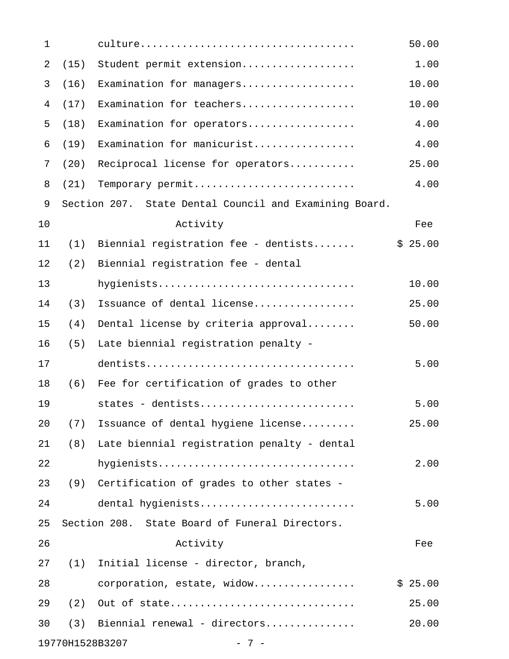| 1              |                 |                                                        | 50.00   |
|----------------|-----------------|--------------------------------------------------------|---------|
| $\overline{2}$ | (15)            | Student permit extension                               | 1.00    |
| 3              | (16)            | Examination for managers                               | 10.00   |
| 4              | (17)            | Examination for teachers                               | 10.00   |
| 5              | (18)            | Examination for operators                              | 4.00    |
| 6              | (19)            | Examination for manicurist                             | 4.00    |
| 7              | (20)            | Reciprocal license for operators                       | 25.00   |
| 8              | (21)            | Temporary permit                                       | 4.00    |
| 9              |                 | Section 207. State Dental Council and Examining Board. |         |
| 10             |                 | Activity                                               | Fee     |
| 11             | (1)             | Biennial registration fee - dentists                   | \$25.00 |
| 12             | (2)             | Biennial registration fee - dental                     |         |
| 13             |                 | hygienists                                             | 10.00   |
| 14             | (3)             | Issuance of dental license                             | 25.00   |
| 15             | (4)             | Dental license by criteria approval                    | 50.00   |
| 16             | (5)             | Late biennial registration penalty -                   |         |
| 17             |                 |                                                        | 5.00    |
| 18             | (6)             | Fee for certification of grades to other               |         |
| 19             |                 | states - dentists                                      | 5.00    |
| 20             | (7)             | Issuance of dental hygiene license                     | 25.00   |
| 21             | (8)             | Late biennial registration penalty - dental            |         |
| 22             |                 | hygienists                                             | 2.00    |
| 23             | (9)             | Certification of grades to other states -              |         |
| 24             |                 | dental hygienists                                      | 5.00    |
| 25             |                 | Section 208. State Board of Funeral Directors.         |         |
| 26             |                 | Activity                                               | Fee     |
| 27             | (1)             | Initial license - director, branch,                    |         |
| 28             |                 | corporation, estate, widow                             | \$25.00 |
| 29             | (2)             | Out of state                                           | 25.00   |
| 30             | (3)             | Biennial renewal - directors                           | 20.00   |
|                | 19770H1528B3207 | $-7-$                                                  |         |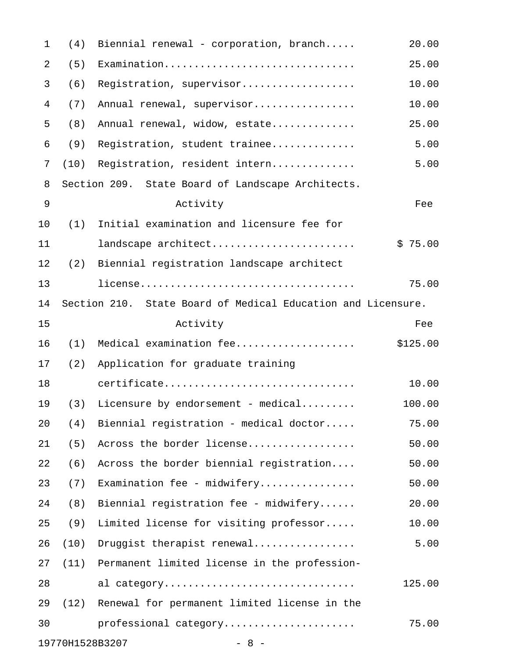| $\mathbf 1$    | (4)  | Biennial renewal - corporation, branch                       | 20.00    |
|----------------|------|--------------------------------------------------------------|----------|
| $\overline{2}$ | (5)  | Examination                                                  | 25.00    |
| 3              | (6)  | Registration, supervisor                                     | 10.00    |
| 4              | (7)  | Annual renewal, supervisor                                   | 10.00    |
| 5              | (8)  | Annual renewal, widow, estate                                | 25.00    |
| 6              | (9)  | Registration, student trainee                                | 5.00     |
| 7              | (10) | Registration, resident intern                                | 5.00     |
| 8              |      | Section 209. State Board of Landscape Architects.            |          |
| $\mathsf 9$    |      | Activity                                                     | Fee      |
| 10             | (1)  | Initial examination and licensure fee for                    |          |
| 11             |      | landscape architect                                          | \$75.00  |
| 12             | (2)  | Biennial registration landscape architect                    |          |
| 13             |      |                                                              | 75.00    |
| 14             |      | Section 210. State Board of Medical Education and Licensure. |          |
| 15             |      | Activity                                                     | Fee      |
| 16             | (1)  | Medical examination fee                                      | \$125.00 |
| 17             | (2)  | Application for graduate training                            |          |
| 18             |      | certificate                                                  | 10.00    |
| 19             | (3)  | Licensure by endorsement - medical                           | 100.00   |
| 20             | (4)  | Biennial registration - medical doctor                       | 75.00    |
| 21             | (5)  | Across the border license                                    | 50.00    |
| 22             | (6)  | Across the border biennial registration                      | 50.00    |
| 23             | (7)  | Examination fee - midwifery                                  | 50.00    |
| 24             | (8)  | Biennial registration fee - midwifery                        | 20.00    |
| 25             | (9)  | Limited license for visiting professor                       | 10.00    |
| 26             | (10) | Druggist therapist renewal                                   | 5.00     |
| 27             | (11) | Permanent limited license in the profession-                 |          |
| 28             |      | al category                                                  | 125.00   |
| 29             | (12) | Renewal for permanent limited license in the                 |          |
| 30             |      | professional category                                        | 75.00    |
|                |      | 19770H1528B3207<br>$-8 -$                                    |          |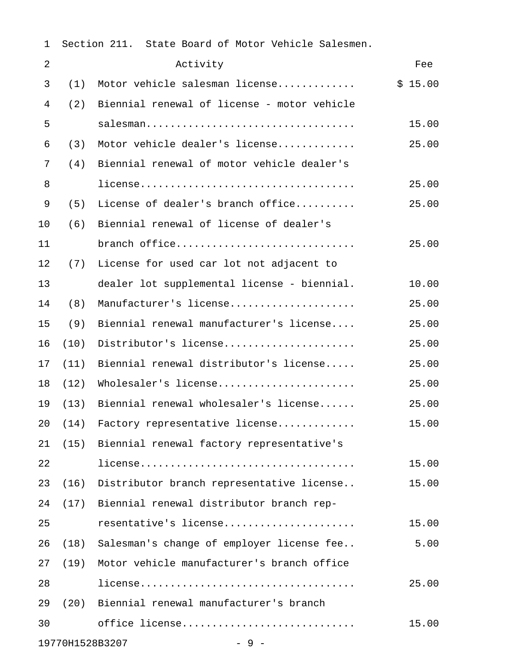| 1              |      | Section 211. State Board of Motor Vehicle Salesmen. |         |
|----------------|------|-----------------------------------------------------|---------|
| $\overline{2}$ |      | Activity                                            | Fee     |
| 3              | (1)  | Motor vehicle salesman license                      | \$15.00 |
| 4              | (2)  | Biennial renewal of license - motor vehicle         |         |
| 5              |      | salesman                                            | 15.00   |
| 6              | (3)  | Motor vehicle dealer's license                      | 25.00   |
| 7              | (4)  | Biennial renewal of motor vehicle dealer's          |         |
| 8              |      |                                                     | 25.00   |
| 9              | (5)  | License of dealer's branch office                   | 25.00   |
| 10             | (6)  | Biennial renewal of license of dealer's             |         |
| 11             |      | branch office                                       | 25.00   |
| 12             | (7)  | License for used car lot not adjacent to            |         |
| 13             |      | dealer lot supplemental license - biennial.         | 10.00   |
| 14             | (8)  | Manufacturer's license                              | 25.00   |
| 15             | (9)  | Biennial renewal manufacturer's license             | 25.00   |
| 16             | (10) | Distributor's license                               | 25.00   |
| 17             | (11) | Biennial renewal distributor's license              | 25.00   |
| 18             | (12) | Wholesaler's license                                | 25.00   |
| 19             | (13) | Biennial renewal wholesaler's license               | 25.00   |
| 20             | (14) | Factory representative license                      | 15.00   |
| 21             | (15) | Biennial renewal factory representative's           |         |
| 22             |      |                                                     | 15.00   |
| 23             | (16) | Distributor branch representative license           | 15.00   |
| 24             | (17) | Biennial renewal distributor branch rep-            |         |
| 25             |      | resentative's license                               | 15.00   |
| 26             | (18) | Salesman's change of employer license fee           | 5.00    |
| 27             | (19) | Motor vehicle manufacturer's branch office          |         |
| 28             |      |                                                     | 25.00   |
| 29             |      | (20) Biennial renewal manufacturer's branch         |         |
| 30             |      | office license                                      | 15.00   |
|                |      | 19770H1528B3207<br>$-9-$                            |         |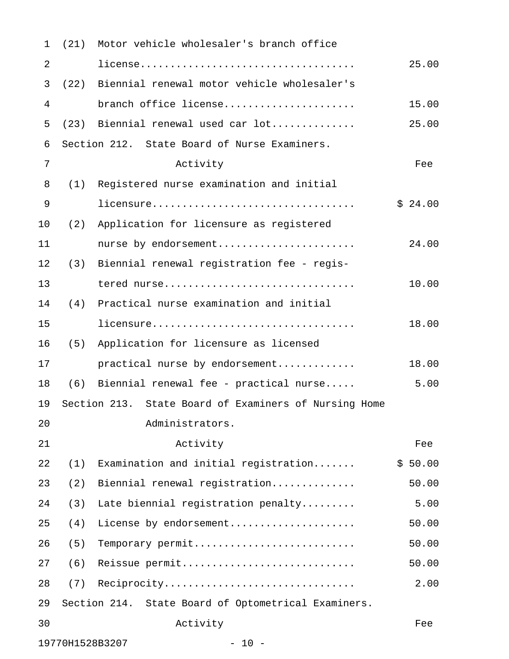| $\mathbf{1}$   |                 | (21) Motor vehicle wholesaler's branch office         |         |
|----------------|-----------------|-------------------------------------------------------|---------|
| $\overline{2}$ |                 |                                                       | 25.00   |
| 3              |                 | (22) Biennial renewal motor vehicle wholesaler's      |         |
| 4              |                 | branch office license                                 | 15.00   |
| 5              |                 | (23) Biennial renewal used car lot                    | 25.00   |
| 6              |                 | Section 212. State Board of Nurse Examiners.          |         |
| 7              |                 | Activity                                              | Fee     |
| 8              | (1)             | Registered nurse examination and initial              |         |
| 9              |                 | licensure                                             | \$24.00 |
| 10             | (2)             | Application for licensure as registered               |         |
| 11             |                 | nurse by endorsement                                  | 24.00   |
| 12             | (3)             | Biennial renewal registration fee - regis-            |         |
| 13             |                 | tered nurse                                           | 10.00   |
| 14             | (4)             | Practical nurse examination and initial               |         |
| 15             |                 | licensure                                             | 18.00   |
| 16             |                 | (5) Application for licensure as licensed             |         |
| 17             |                 | practical nurse by endorsement                        | 18.00   |
| 18             | (6)             | Biennial renewal fee - practical nurse                | 5.00    |
| 19             |                 | Section 213. State Board of Examiners of Nursing Home |         |
| 20             |                 | Administrators.                                       |         |
| 21             |                 | Activity                                              | Fee     |
| 22             | (1)             | Examination and initial registration                  | \$50.00 |
| 23             | (2)             | Biennial renewal registration                         | 50.00   |
| 24             | (3)             | Late biennial registration penalty                    | 5.00    |
| 25             | (4)             | License by endorsement                                | 50.00   |
| 26             | (5)             | Temporary permit                                      | 50.00   |
| 27             | (6)             | Reissue permit                                        | 50.00   |
| 28             | (7)             | Reciprocity                                           | 2.00    |
| 29             |                 | Section 214. State Board of Optometrical Examiners.   |         |
| 30             |                 | Activity                                              | Fee     |
|                | 19770H1528B3207 | $-10 -$                                               |         |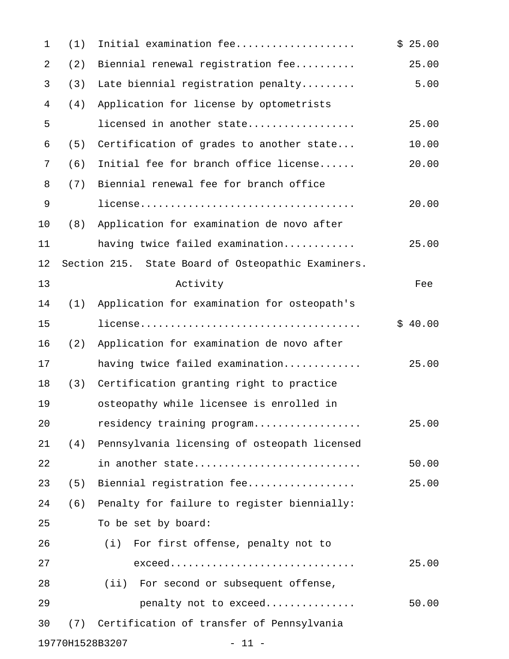| 1  | (1)             | Initial examination fee                            | \$25.00 |
|----|-----------------|----------------------------------------------------|---------|
| 2  | (2)             | Biennial renewal registration fee                  | 25.00   |
| 3  | (3)             | Late biennial registration penalty                 | 5.00    |
| 4  | (4)             | Application for license by optometrists            |         |
| 5  |                 | licensed in another state                          | 25.00   |
| 6  | (5)             | Certification of grades to another state           | 10.00   |
| 7  | (6)             | Initial fee for branch office license              | 20.00   |
| 8  | (7)             | Biennial renewal fee for branch office             |         |
| 9  |                 |                                                    | 20.00   |
| 10 | (8)             | Application for examination de novo after          |         |
| 11 |                 | having twice failed examination                    | 25.00   |
| 12 |                 | Section 215. State Board of Osteopathic Examiners. |         |
| 13 |                 | Activity                                           | Fee     |
| 14 | (1)             | Application for examination for osteopath's        |         |
| 15 |                 |                                                    | \$40.00 |
| 16 | (2)             | Application for examination de novo after          |         |
| 17 |                 | having twice failed examination                    | 25.00   |
| 18 | (3)             | Certification granting right to practice           |         |
| 19 |                 | osteopathy while licensee is enrolled in           |         |
| 20 |                 | residency training program                         | 25.00   |
| 21 | (4)             | Pennsylvania licensing of osteopath licensed       |         |
| 22 |                 | in another state                                   | 50.00   |
| 23 | (5)             | Biennial registration fee                          | 25.00   |
| 24 | (6)             | Penalty for failure to register biennially:        |         |
| 25 |                 | To be set by board:                                |         |
| 26 |                 | (i) For first offense, penalty not to              |         |
| 27 |                 | $exceed.$                                          | 25.00   |
| 28 |                 | (ii) For second or subsequent offense,             |         |
| 29 |                 | penalty not to exceed                              | 50.00   |
| 30 | (7)             | Certification of transfer of Pennsylvania          |         |
|    | 19770H1528B3207 | $-11 -$                                            |         |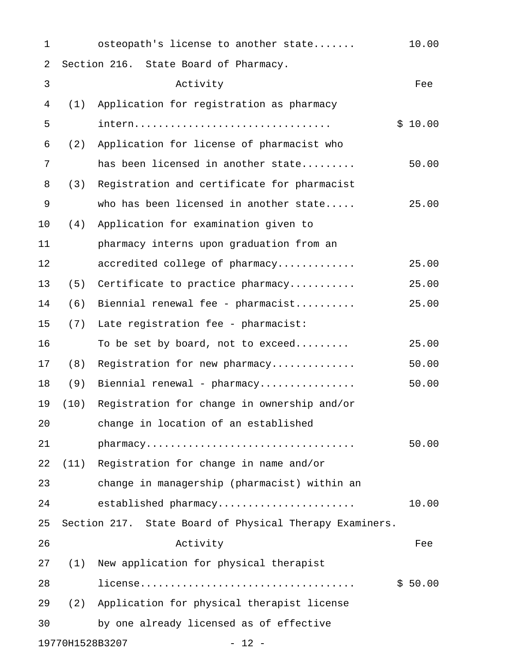| 1              |                 | osteopath's license to another state                    | 10.00   |
|----------------|-----------------|---------------------------------------------------------|---------|
| $\sqrt{2}$     |                 | Section 216. State Board of Pharmacy.                   |         |
| $\mathfrak{Z}$ |                 | Activity                                                | Fee     |
| 4              | (1)             | Application for registration as pharmacy                |         |
| 5              |                 | intern                                                  | \$10.00 |
| 6              | (2)             | Application for license of pharmacist who               |         |
| 7              |                 | has been licensed in another state                      | 50.00   |
| 8              | (3)             | Registration and certificate for pharmacist             |         |
| 9              |                 | who has been licensed in another state                  | 25.00   |
| 10             | (4)             | Application for examination given to                    |         |
| 11             |                 | pharmacy interns upon graduation from an                |         |
| 12             |                 | accredited college of pharmacy                          | 25.00   |
| 13             | (5)             | Certificate to practice pharmacy                        | 25.00   |
| 14             | (6)             | Biennial renewal fee - pharmacist                       | 25.00   |
| 15             | (7)             | Late registration fee - pharmacist:                     |         |
| 16             |                 | To be set by board, not to exceed                       | 25.00   |
| 17             | (8)             | Registration for new pharmacy                           | 50.00   |
| 18             | (9)             | Biennial renewal - pharmacy                             | 50.00   |
| 19             | (10)            | Registration for change in ownership and/or             |         |
| 20             |                 | change in location of an established                    |         |
| 21             |                 |                                                         | 50.00   |
| 22             |                 | (11) Registration for change in name and/or             |         |
| 23             |                 | change in managership (pharmacist) within an            |         |
| 24             |                 | established pharmacy                                    | 10.00   |
| 25             |                 | Section 217. State Board of Physical Therapy Examiners. |         |
| 26             |                 | Activity                                                | Fee     |
| 27             | (1)             | New application for physical therapist                  |         |
| 28             |                 |                                                         | \$50.00 |
| 29             |                 | (2) Application for physical therapist license          |         |
| 30             |                 | by one already licensed as of effective                 |         |
|                | 19770H1528B3207 | $-12 -$                                                 |         |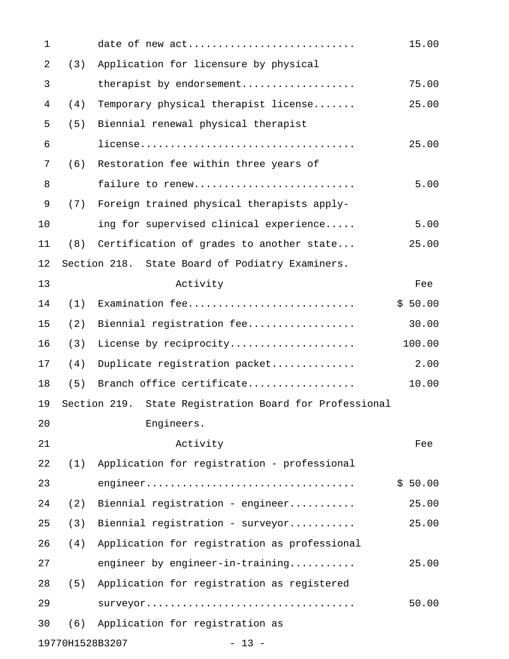| $\mathbf{1}$   |     | date of new act                                        | 15.00   |
|----------------|-----|--------------------------------------------------------|---------|
| 2              | (3) | Application for licensure by physical                  |         |
| 3              |     | therapist by endorsement                               | 75.00   |
| $\overline{4}$ | (4) | Temporary physical therapist license                   | 25.00   |
| 5              | (5) | Biennial renewal physical therapist                    |         |
| 6              |     |                                                        | 25.00   |
| 7              | (6) | Restoration fee within three years of                  |         |
| 8              |     | failure to renew                                       | 5.00    |
| 9              | (7) | Foreign trained physical therapists apply-             |         |
| 10             |     | ing for supervised clinical experience                 | 5.00    |
| 11             |     | (8) Certification of grades to another state           | 25.00   |
| 12             |     | Section 218. State Board of Podiatry Examiners.        |         |
| 13             |     | Activity                                               | Fee     |
| 14             | (1) | Examination fee                                        | \$50.00 |
| 15             | (2) | Biennial registration fee                              | 30.00   |
| 16             | (3) | License by reciprocity                                 | 100.00  |
| 17             | (4) | Duplicate registration packet                          | 2.00    |
| 18             | (5) | Branch office certificate                              | 10.00   |
| 19             |     | Section 219. State Registration Board for Professional |         |
| 20             |     | Engineers.                                             |         |
| 21             |     | Activity                                               | Fee     |
| 22             | (1) | Application for registration - professional            |         |
| 23             |     |                                                        | \$50.00 |
| 24             | (2) | Biennial registration - engineer                       | 25.00   |
| 25             | (3) | Biennial registration - surveyor                       | 25.00   |
| 26             | (4) | Application for registration as professional           |         |
| 27             |     | engineer by engineer-in-training                       | 25.00   |
| 28             | (5) | Application for registration as registered             |         |
| 29             |     | surveyor                                               | 50.00   |
| 30             | (6) | Application for registration as                        |         |
|                |     |                                                        |         |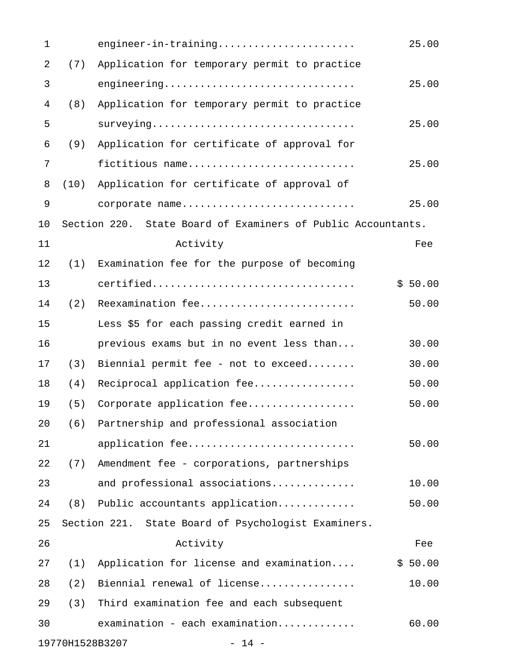| 1          |      | engineer-in-training                                         | 25.00   |
|------------|------|--------------------------------------------------------------|---------|
| $\sqrt{2}$ | (7)  | Application for temporary permit to practice                 |         |
| 3          |      | engineering                                                  | 25.00   |
| 4          | (8)  | Application for temporary permit to practice                 |         |
| 5          |      | surveying                                                    | 25.00   |
| 6          | (9)  | Application for certificate of approval for                  |         |
| 7          |      | fictitious name                                              | 25.00   |
| 8          | (10) | Application for certificate of approval of                   |         |
| 9          |      | corporate name                                               | 25.00   |
| 10         |      | Section 220. State Board of Examiners of Public Accountants. |         |
| 11         |      | Activity                                                     | Fee     |
| 12         | (1)  | Examination fee for the purpose of becoming                  |         |
| 13         |      | certified                                                    | \$50.00 |
| 14         | (2)  | Reexamination fee                                            | 50.00   |
| 15         |      | Less \$5 for each passing credit earned in                   |         |
| 16         |      | previous exams but in no event less than                     | 30.00   |
| 17         | (3)  | Biennial permit fee - not to exceed                          | 30.00   |
| 18         | (4)  | Reciprocal application fee                                   | 50.00   |
| 19         | (5)  | Corporate application fee                                    | 50.00   |
| 20         | (6)  | Partnership and professional association                     |         |
| 21         |      | application fee                                              | 50.00   |
| 22         | (7)  | Amendment fee - corporations, partnerships                   |         |
| 23         |      | and professional associations                                | 10.00   |
| 24         | (8)  | Public accountants application                               | 50.00   |
| 25         |      | Section 221. State Board of Psychologist Examiners.          |         |
| 26         |      | Activity                                                     | Fee     |
| 27         | (1)  | Application for license and examination                      | \$50.00 |
| 28         | (2)  | Biennial renewal of license                                  | 10.00   |
| 29         | (3)  | Third examination fee and each subsequent                    |         |
| 30         |      |                                                              | 60.00   |
|            |      | 19770H1528B3207<br>$-14 -$                                   |         |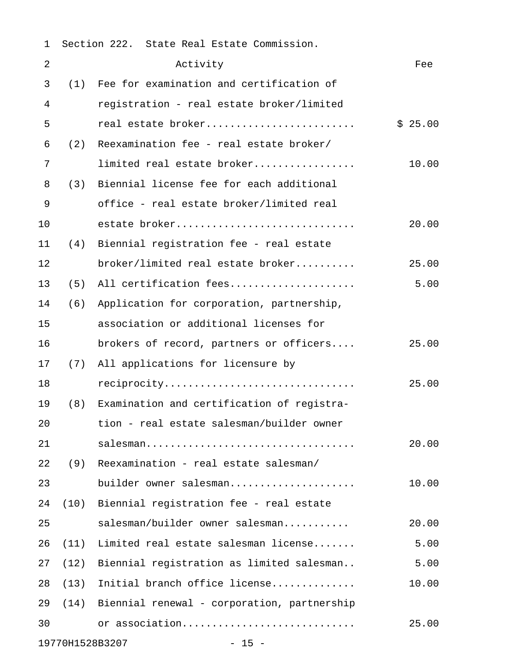| 1          |      | Section 222. State Real Estate Commission.  |         |
|------------|------|---------------------------------------------|---------|
| $\sqrt{2}$ |      | Activity                                    | Fee     |
| 3          | (1)  | Fee for examination and certification of    |         |
| 4          |      | registration - real estate broker/limited   |         |
| 5          |      | real estate broker                          | \$25.00 |
| 6          | (2)  | Reexamination fee - real estate broker/     |         |
| 7          |      | limited real estate broker                  | 10.00   |
| 8          | (3)  | Biennial license fee for each additional    |         |
| 9          |      | office - real estate broker/limited real    |         |
| 10         |      | estate broker                               | 20.00   |
| 11         | (4)  | Biennial registration fee - real estate     |         |
| 12         |      | broker/limited real estate broker           | 25.00   |
| 13         | (5)  | All certification fees                      | 5.00    |
| 14         | (6)  | Application for corporation, partnership,   |         |
| 15         |      | association or additional licenses for      |         |
| 16         |      | brokers of record, partners or officers     | 25.00   |
| 17         | (7)  | All applications for licensure by           |         |
| 18         |      | reciprocity                                 | 25.00   |
| 19         | (8)  | Examination and certification of registra-  |         |
| 20         |      | tion - real estate salesman/builder owner   |         |
| 21         |      | salesman                                    | 20.00   |
| 22         | (9)  | Reexamination - real estate salesman/       |         |
| 23         |      | builder owner salesman                      | 10.00   |
| 24         | (10) | Biennial registration fee - real estate     |         |
| 25         |      | salesman/builder owner salesman             | 20.00   |
| 26         | (11) | Limited real estate salesman license        | 5.00    |
| 27         | (12) | Biennial registration as limited salesman   | 5.00    |
| 28         | (13) | Initial branch office license               | 10.00   |
| 29         | (14) | Biennial renewal - corporation, partnership |         |
| 30         |      | or association                              | 25.00   |
|            |      | 19770H1528B3207<br>$-15 -$                  |         |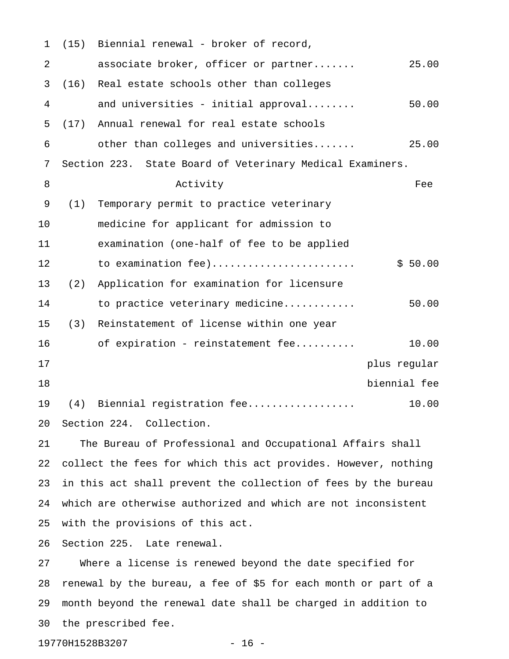| $\mathbf 1$ | (15) | Biennial renewal - broker of record,                            |              |
|-------------|------|-----------------------------------------------------------------|--------------|
| 2           |      | associate broker, officer or partner                            | 25.00        |
| 3           | (16) | Real estate schools other than colleges                         |              |
| 4           |      | and universities - initial approval                             | 50.00        |
| 5           | (17) | Annual renewal for real estate schools                          |              |
| 6           |      | other than colleges and universities                            | 25.00        |
| 7           |      | Section 223. State Board of Veterinary Medical Examiners.       |              |
| 8           |      | Activity                                                        | Fee          |
| 9           | (1)  | Temporary permit to practice veterinary                         |              |
| 10          |      | medicine for applicant for admission to                         |              |
| 11          |      | examination (one-half of fee to be applied                      |              |
| 12          |      | to examination fee)                                             | \$50.00      |
| 13          | (2)  | Application for examination for licensure                       |              |
| 14          |      | to practice veterinary medicine                                 | 50.00        |
| 15          | (3)  | Reinstatement of license within one year                        |              |
| 16          |      | of expiration - reinstatement fee                               | 10.00        |
| 17          |      |                                                                 | plus regular |
| 18          |      |                                                                 | biennial fee |
| 19          | (4)  | Biennial registration fee                                       | 10.00        |
| 20          |      | Section 224. Collection.                                        |              |
| 21          |      | The Bureau of Professional and Occupational Affairs shall       |              |
| 22          |      | collect the fees for which this act provides. However, nothing  |              |
| 23          |      | in this act shall prevent the collection of fees by the bureau  |              |
| 24          |      | which are otherwise authorized and which are not inconsistent   |              |
| 25          |      | with the provisions of this act.                                |              |
| 26          |      | Section 225. Late renewal.                                      |              |
| 27          |      | Where a license is renewed beyond the date specified for        |              |
| 28          |      | renewal by the bureau, a fee of \$5 for each month or part of a |              |
| 29          |      | month beyond the renewal date shall be charged in addition to   |              |

30 the prescribed fee.

19770H1528B3207 - 16 -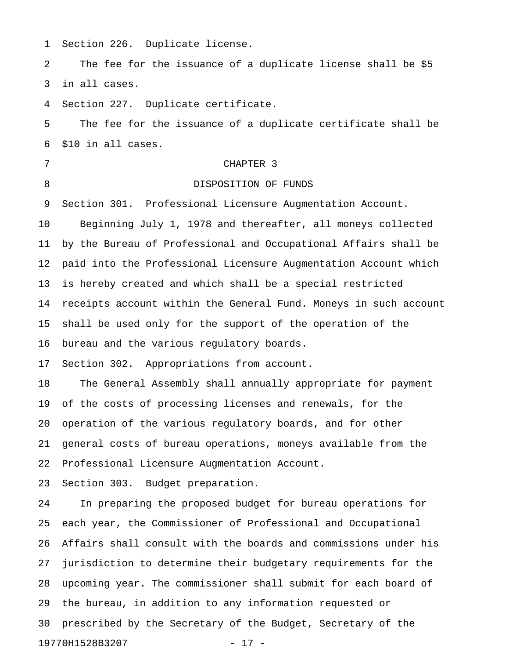1 Section 226. Duplicate license.

2 The fee for the issuance of a duplicate license shall be \$5 3 in all cases.

4 Section 227. Duplicate certificate.

5 The fee for the issuance of a duplicate certificate shall be 6 \$10 in all cases.

## 7 CHAPTER 3

#### 8 DISPOSITION OF FUNDS

9 Section 301. Professional Licensure Augmentation Account.

10 Beginning July 1, 1978 and thereafter, all moneys collected 11 by the Bureau of Professional and Occupational Affairs shall be 12 paid into the Professional Licensure Augmentation Account which 13 is hereby created and which shall be a special restricted 14 receipts account within the General Fund. Moneys in such account 15 shall be used only for the support of the operation of the 16 bureau and the various regulatory boards.

17 Section 302. Appropriations from account.

18 The General Assembly shall annually appropriate for payment 19 of the costs of processing licenses and renewals, for the 20 operation of the various regulatory boards, and for other 21 general costs of bureau operations, moneys available from the 22 Professional Licensure Augmentation Account.

23 Section 303. Budget preparation.

24 In preparing the proposed budget for bureau operations for 25 each year, the Commissioner of Professional and Occupational 26 Affairs shall consult with the boards and commissions under his 27 jurisdiction to determine their budgetary requirements for the 28 upcoming year. The commissioner shall submit for each board of 29 the bureau, in addition to any information requested or 30 prescribed by the Secretary of the Budget, Secretary of the 19770H1528B3207 - 17 -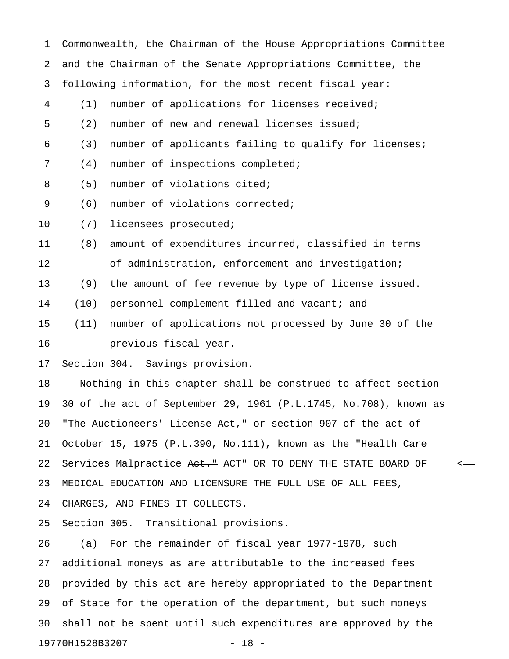| $\mathbf{1}$ |      | Commonwealth, the Chairman of the House Appropriations Committee |
|--------------|------|------------------------------------------------------------------|
| 2            |      | and the Chairman of the Senate Appropriations Committee, the     |
| 3            |      | following information, for the most recent fiscal year:          |
| 4            | (1)  | number of applications for licenses received;                    |
| 5            | (2)  | number of new and renewal licenses issued;                       |
| 6            | (3)  | number of applicants failing to qualify for licenses;            |
| 7            | (4)  | number of inspections completed;                                 |
| 8            | (5)  | number of violations cited;                                      |
| 9            | (6)  | number of violations corrected;                                  |
| 10           | (7)  | licensees prosecuted;                                            |
| 11           | (8)  | amount of expenditures incurred, classified in terms             |
| 12           |      | of administration, enforcement and investigation;                |
| 13           | (9)  | the amount of fee revenue by type of license issued.             |
| 14           | (10) | personnel complement filled and vacant; and                      |
| 15           | (11) | number of applications not processed by June 30 of the           |
| 16           |      | previous fiscal year.                                            |
| 17           |      | Section 304. Savings provision.                                  |
| 18           |      | Nothing in this chapter shall be construed to affect section     |
| 19           |      | 30 of the act of September 29, 1961 (P.L.1745, No.708), known as |
| 20           |      | "The Auctioneers' License Act," or section 907 of the act of     |
| 21           |      | October 15, 1975 (P.L.390, No.111), known as the "Health Care    |
| 22           |      | Services Malpractice Aet." ACT" OR TO DENY THE STATE BOARD OF    |
| 23           |      | MEDICAL EDUCATION AND LICENSURE THE FULL USE OF ALL FEES,        |
| 24           |      | CHARGES, AND FINES IT COLLECTS.                                  |
| 25           |      | Section 305. Transitional provisions.                            |

26 (a) For the remainder of fiscal year 1977-1978, such 27 additional moneys as are attributable to the increased fees 28 provided by this act are hereby appropriated to the Department 29 of State for the operation of the department, but such moneys 30 shall not be spent until such expenditures are approved by the 19770H1528B3207 - 18 -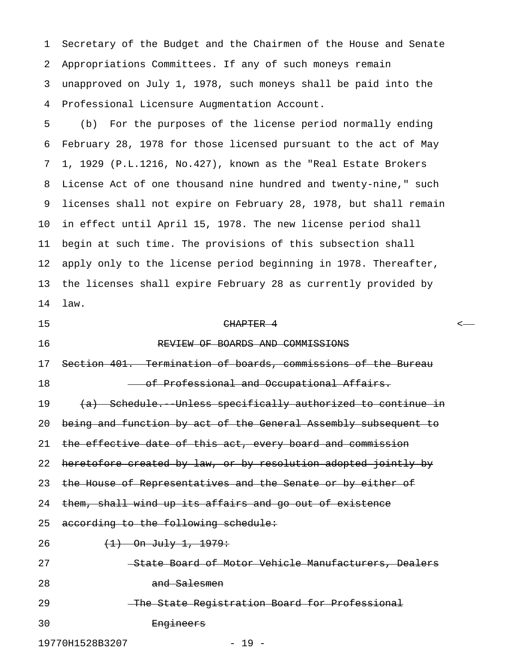1 Secretary of the Budget and the Chairmen of the House and Senate 2 Appropriations Committees. If any of such moneys remain 3 unapproved on July 1, 1978, such moneys shall be paid into the 4 Professional Licensure Augmentation Account.

5 (b) For the purposes of the license period normally ending 6 February 28, 1978 for those licensed pursuant to the act of May 7 1, 1929 (P.L.1216, No.427), known as the "Real Estate Brokers 8 License Act of one thousand nine hundred and twenty-nine," such 9 licenses shall not expire on February 28, 1978, but shall remain 10 in effect until April 15, 1978. The new license period shall 11 begin at such time. The provisions of this subsection shall 12 apply only to the license period beginning in 1978. Thereafter, 13 the licenses shall expire February 28 as currently provided by 14 law.

15 CHAPTER 4 < 16 REVIEW OF BOARDS AND COMMISSIONS 17 Section 401. Termination of boards, commissions of the Bureau 18 **- Of Professional and Occupational Affairs.** 19 (a) Schedule. Unless specifically authorized to continue in 20 being and function by act of the General Assembly subsequent to 21 the effective date of this act, every board and commission 22 heretofore created by law, or by resolution adopted jointly by 23 the House of Representatives and the Senate or by either of 24 them, shall wind up its affairs and go out of existence 25 according to the following schedule: 26 (1) On July 1, 1979: 27 State Board of Motor Vehicle Manufacturers, Dealers 28 and Salesmen 29 The State Registration Board for Professional 30 Engineers 19770H1528B3207 - 19 -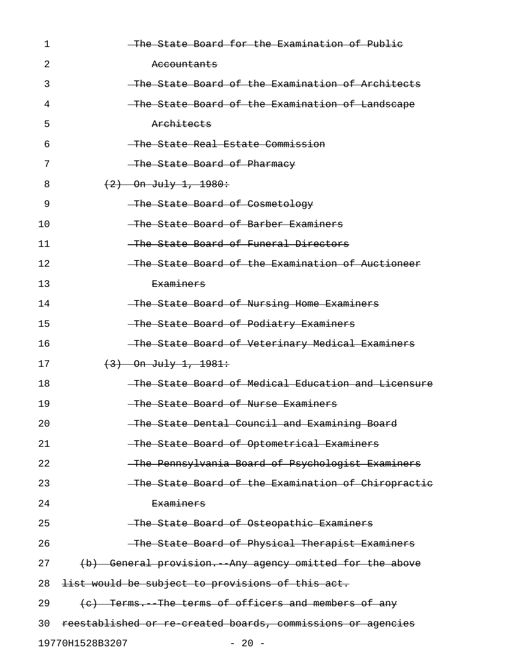| 1  | The State Board for the Examination of Publie               |
|----|-------------------------------------------------------------|
| 2  | Accountants                                                 |
| 3  | -The State Board of the Examination of Architects           |
| 4  | The State Board of the Examination of Landscape             |
| 5  | <del>Architects</del>                                       |
| 6  | The State Real Estate Commission                            |
| 7  | The State Board of Pharmacy                                 |
| 8  | $(2)$ On July 1, 1980:                                      |
| 9  | The State Board of Cosmetology                              |
| 10 | The State Board of Barber Examiners                         |
| 11 | -The State Board of Funeral Directors                       |
| 12 | The State Board of the Examination of Auctioneer            |
| 13 | <del>Examiners</del>                                        |
| 14 | The State Board of Nursing Home Examiners                   |
| 15 | The State Board of Podiatry Examiners                       |
| 16 | -The State Board of Veterinary Medical Examiners            |
| 17 | $(3)$ On July 1, 1981:                                      |
| 18 | -The State Board of Medical Education and Licensure         |
| 19 | The State Board of Nurse Examiners                          |
| 20 | The State Dental Council and Examining Board                |
| 21 | The State Board of Optometrical Examiners                   |
| 22 | The Pennsylvania Board of Psychologist Examiners            |
| 23 | -The State Board of the Examination of Chiropractic         |
| 24 | <b>Examiners</b>                                            |
| 25 | The State Board of Osteopathic Examiners                    |
| 26 | -The State Board of Physical Therapist Examiners            |
| 27 | (b) General provision. Any agency omitted for the above     |
| 28 | list would be subject to provisions of this act.            |
| 29 | (c) Terms. The terms of officers and members of any         |
| 30 | reestablished or re created boards, commissions or agencies |
|    | 19770H1528B3207<br>$-20 -$                                  |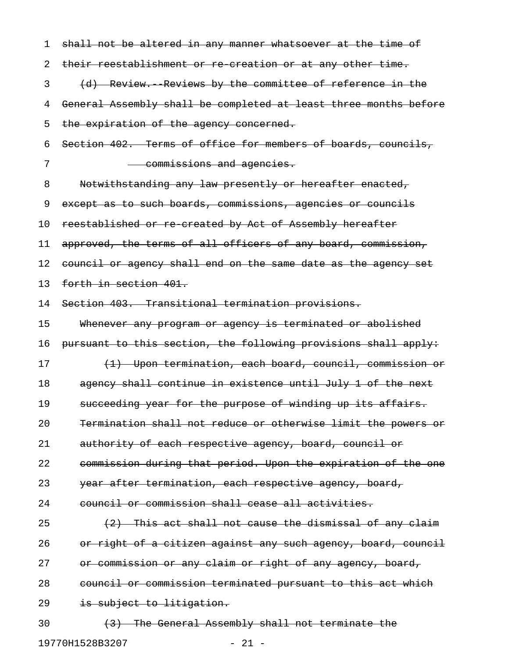| 1  | shall not be altered in any manner whatsoever at the time of     |
|----|------------------------------------------------------------------|
| 2  | their reestablishment or re creation or at any other time.       |
| 3  | (d) Review. Reviews by the committee of reference in the         |
| 4  | General Assembly shall be completed at least three months before |
| 5  | the expiration of the agency concerned.                          |
| 6  | Section 402. Terms of office for members of boards, councils,    |
| 7  | commissions and agencies.                                        |
| 8  | Notwithstanding any law presently or hereafter enacted,          |
| 9  | except as to such boards, commissions, agencies or councils      |
| 10 | reestablished or re created by Act of Assembly hereafter         |
| 11 | approved, the terms of all officers of any board, commission,    |
| 12 | council or agency shall end on the same date as the agency set   |
| 13 | forth in section 401.                                            |
| 14 | Section 403. Transitional termination provisions.                |
| 15 | Whenever any program or agency is terminated or abolished        |
| 16 | pursuant to this section, the following provisions shall apply:  |
| 17 | (1) Upon termination, each board, council, commission or         |
| 18 | agency shall continue in existence until July 1 of the next      |
| 19 | succeeding year for the purpose of winding up its affairs.       |
| 20 | Termination shall not reduce or otherwise limit the powers or    |
| 21 | authority of each respective agency, board, council or           |
| 22 | commission during that period. Upon the expiration of the one    |
| 23 | year after termination, each respective agency, board,           |
| 24 | council or commission shall cease all activities.                |
| 25 | (2) This act shall not cause the dismissal of any claim          |
| 26 | or right of a citizen against any such agency, board, council    |
| 27 | or commission or any claim or right of any agency, board,        |
| 28 | council or commission terminated pursuant to this act which      |
| 29 | is subject to litigation.                                        |
| 30 | (3) The General Assembly shall not terminate the                 |
|    | $-21 -$<br>19770H1528B3207                                       |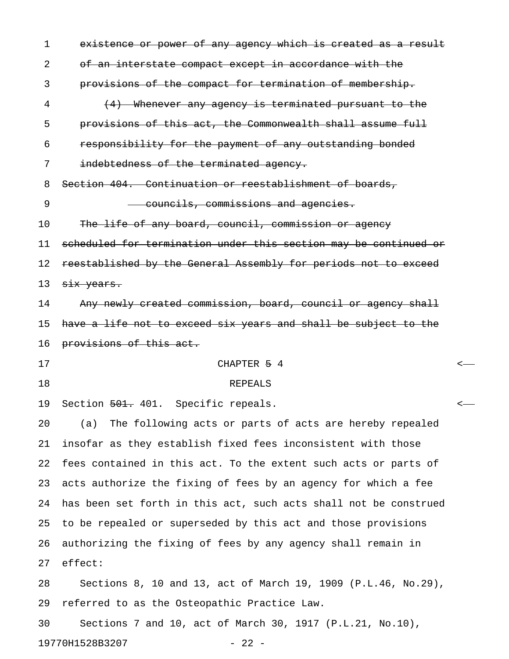1 existence or power of any agency which is created as a result 2 of an interstate compact except in accordance with the 3 provisions of the compact for termination of membership. 4 (4) Whenever any agency is terminated pursuant to the 5 provisions of this act, the Commonwealth shall assume full 6 responsibility for the payment of any outstanding bonded 7 indebtedness of the terminated agency. 8 Section 404. Continuation or reestablishment of boards, 9 councils, commissions and agencies. 10 The life of any board, council, commission or agency 11 scheduled for termination under this section may be continued or 12 reestablished by the General Assembly for periods not to exceed 13 six years. 14 Any newly created commission, board, council or agency shall 15 have a life not to exceed six years and shall be subject to the 16 provisions of this act. 17 CHAPTER 5 4 < 18 REPEALS 19 Section <del>501.</del> 401. Specific repeals.  $\leftarrow$ 20 (a) The following acts or parts of acts are hereby repealed 21 insofar as they establish fixed fees inconsistent with those 22 fees contained in this act. To the extent such acts or parts of 23 acts authorize the fixing of fees by an agency for which a fee 24 has been set forth in this act, such acts shall not be construed 25 to be repealed or superseded by this act and those provisions 26 authorizing the fixing of fees by any agency shall remain in 27 effect: 28 Sections 8, 10 and 13, act of March 19, 1909 (P.L.46, No.29), 29 referred to as the Osteopathic Practice Law. 30 Sections 7 and 10, act of March 30, 1917 (P.L.21, No.10),

19770H1528B3207 - 22 -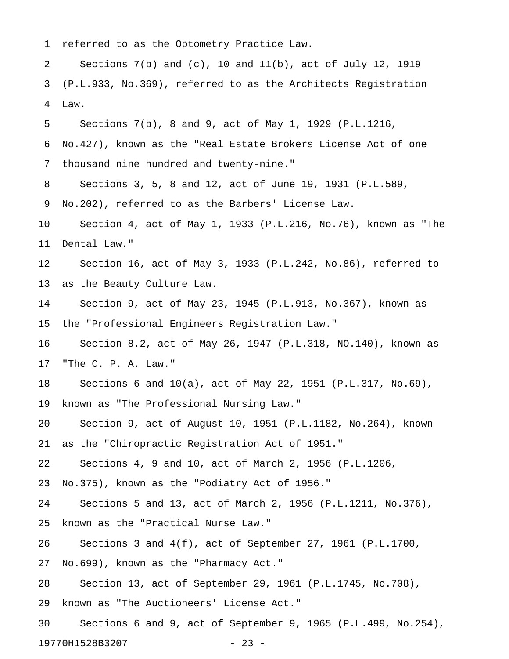1 referred to as the Optometry Practice Law.

2 Sections 7(b) and (c), 10 and 11(b), act of July 12, 1919 3 (P.L.933, No.369), referred to as the Architects Registration 4 Law.

5 Sections 7(b), 8 and 9, act of May 1, 1929 (P.L.1216,

6 No.427), known as the "Real Estate Brokers License Act of one

7 thousand nine hundred and twenty-nine."

8 Sections 3, 5, 8 and 12, act of June 19, 1931 (P.L.589,

9 No.202), referred to as the Barbers' License Law.

10 Section 4, act of May 1, 1933 (P.L.216, No.76), known as "The 11 Dental Law."

12 Section 16, act of May 3, 1933 (P.L.242, No.86), referred to 13 as the Beauty Culture Law.

14 Section 9, act of May 23, 1945 (P.L.913, No.367), known as 15 the "Professional Engineers Registration Law."

16 Section 8.2, act of May 26, 1947 (P.L.318, NO.140), known as 17 "The C. P. A. Law."

18 Sections 6 and 10(a), act of May 22, 1951 (P.L.317, No.69),

19 known as "The Professional Nursing Law."

20 Section 9, act of August 10, 1951 (P.L.1182, No.264), known 21 as the "Chiropractic Registration Act of 1951."

22 Sections 4, 9 and 10, act of March 2, 1956 (P.L.1206,

23 No.375), known as the "Podiatry Act of 1956."

24 Sections 5 and 13, act of March 2, 1956 (P.L.1211, No.376),

25 known as the "Practical Nurse Law."

26 Sections 3 and 4(f), act of September 27, 1961 (P.L.1700,

27 No.699), known as the "Pharmacy Act."

28 Section 13, act of September 29, 1961 (P.L.1745, No.708),

29 known as "The Auctioneers' License Act."

30 Sections 6 and 9, act of September 9, 1965 (P.L.499, No.254), 19770H1528B3207 - 23 -